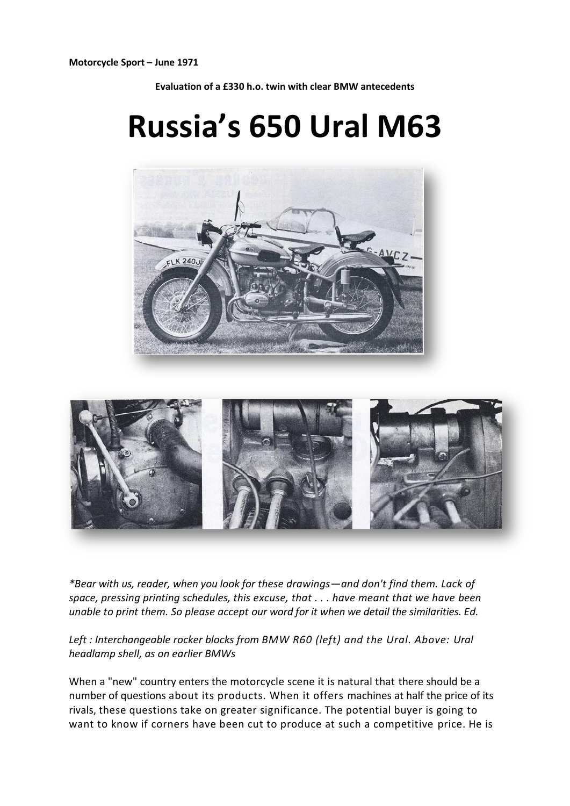**Motorcycle Sport – June 1971**

**Evaluation of a £330 h.o. twin with clear BMW antecedents**

## **Russia's 650 Ural M63**





*\*Bear with us, reader, when you look for these drawings—and don't find them. Lack of space, pressing printing schedules, this excuse, that . . . have meant that we have been unable to print them. So please accept our word for it when we detail the similarities. Ed.*

*Left : Interchangeable rocker blocks from BMW R60 (left) and the Ural. Above: Ural headlamp shell, as on earlier BMWs*

When a "new" country enters the motorcycle scene it is natural that there should be a number of questions about its products. When it offers machines at half the price of its rivals, these questions take on greater significance. The potential buyer is going to want to know if corners have been cut to produce at such a competitive price. He is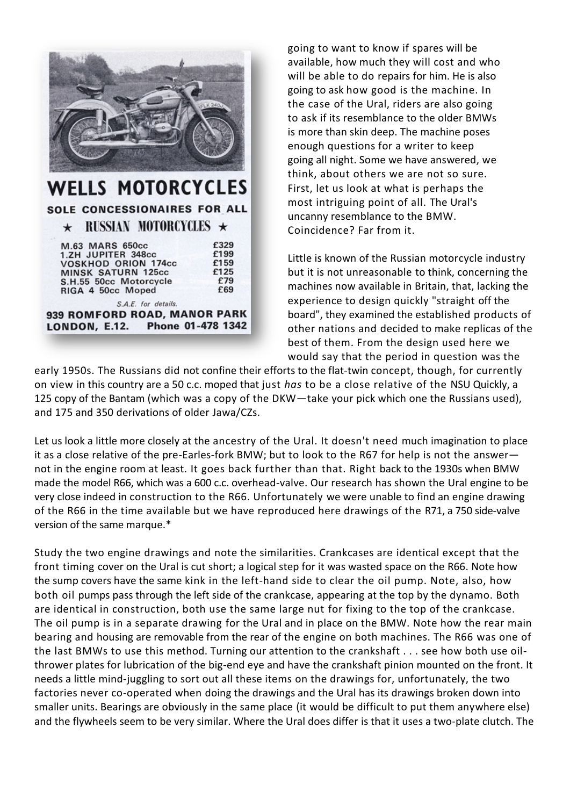

## **WELLS MOTORCYCLES** SOLE CONCESSIONAIRES FOR ALL  $\star$  RUSSIAN MOTORCYCLES  $\star$ M.63 MARS 650cc £329

| LONDON, E.12. Phone 01-478 1342 |      |
|---------------------------------|------|
| 939 ROMFORD ROAD, MANOR PARK    |      |
| S.A.E. for details.             |      |
| RIGA 4 50cc Moped               | £69  |
| S.H.55 50cc Motorcycle          | £79  |
| <b>MINSK SATURN 125cc</b>       | £125 |
| <b>VOSKHOD ORION 174cc</b>      | £159 |
| 1.ZH JUPITER 348cc              | £199 |

going to want to know if spares will be available, how much they will cost and who will be able to do repairs for him. He is also going to ask how good is the machine. In the case of the Ural, riders are also going to ask if its resemblance to the older BMWs is more than skin deep. The machine poses enough questions for a writer to keep going all night. Some we have answered, we think, about others we are not so sure. First, let us look at what is perhaps the most intriguing point of all. The Ural's uncanny resemblance to the BMW. Coincidence? Far from it.

Little is known of the Russian motorcycle industry but it is not unreasonable to think, concerning the machines now available in Britain, that, lacking the experience to design quickly "straight off the board", they examined the established products of other nations and decided to make replicas of the best of them. From the design used here we would say that the period in question was the

early 1950s. The Russians did not confine their efforts to the flat-twin concept, though, for currently on view in this country are a 50 c.c. moped that just *has* to be a close relative of the NSU Quickly, a 125 copy of the Bantam (which was a copy of the DKW—take your pick which one the Russians used), and 175 and 350 derivations of older Jawa/CZs.

Let us look a little more closely at the ancestry of the Ural. It doesn't need much imagination to place it as a close relative of the pre-Earles-fork BMW; but to look to the R67 for help is not the answer not in the engine room at least. It goes back further than that. Right back to the 1930s when BMW made the model R66, which was a 600 c.c. overhead-valve. Our research has shown the Ural engine to be very close indeed in construction to the R66. Unfortunately we were unable to find an engine drawing of the R66 in the time available but we have reproduced here drawings of the R71, a 750 side-valve version of the same marque.\*

Study the two engine drawings and note the similarities. Crankcases are identical except that the front timing cover on the Ural is cut short; a logical step for it was wasted space on the R66. Note how the sump covers have the same kink in the left-hand side to clear the oil pump. Note, also, how both oil pumps pass through the left side of the crankcase, appearing at the top by the dynamo. Both are identical in construction, both use the same large nut for fixing to the top of the crankcase. The oil pump is in a separate drawing for the Ural and in place on the BMW. Note how the rear main bearing and housing are removable from the rear of the engine on both machines. The R66 was one of the last BMWs to use this method. Turning our attention to the crankshaft . . . see how both use oilthrower plates for lubrication of the big-end eye and have the crankshaft pinion mounted on the front. It needs a little mind-juggling to sort out all these items on the drawings for, unfortunately, the two factories never co-operated when doing the drawings and the Ural has its drawings broken down into smaller units. Bearings are obviously in the same place (it would be difficult to put them anywhere else) and the flywheels seem to be very similar. Where the Ural does differ is that it uses a two-plate clutch. The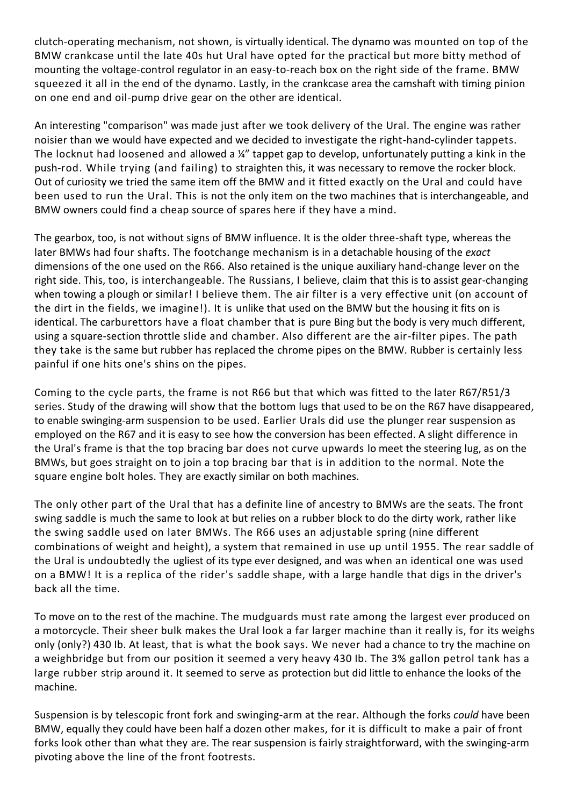clutch-operating mechanism, not shown, is virtually identical. The dynamo was mounted on top of the BMW crankcase until the late 40s hut Ural have opted for the practical but more bitty method of mounting the voltage-control regulator in an easy-to-reach box on the right side of the frame. BMW squeezed it all in the end of the dynamo. Lastly, in the crankcase area the camshaft with timing pinion on one end and oil-pump drive gear on the other are identical.

An interesting "comparison" was made just after we took delivery of the Ural. The engine was rather noisier than we would have expected and we decided to investigate the right-hand-cylinder tappets. The locknut had loosened and allowed a ¼" tappet gap to develop, unfortunately putting a kink in the push-rod. While trying (and failing) to straighten this, it was necessary to remove the rocker block. Out of curiosity we tried the same item off the BMW and it fitted exactly on the Ural and could have been used to run the Ural. This is not the only item on the two machines that is interchangeable, and BMW owners could find a cheap source of spares here if they have a mind.

The gearbox, too, is not without signs of BMW influence. It is the older three-shaft type, whereas the later BMWs had four shafts. The footchange mechanism is in a detachable housing of the *exact*  dimensions of the one used on the R66. Also retained is the unique auxiliary hand-change lever on the right side. This, too, is interchangeable. The Russians, I believe, claim that this is to assist gear-changing when towing a plough or similar! I believe them. The air filter is a very effective unit (on account of the dirt in the fields, we imagine!). It is unlike that used on the BMW but the housing it fits on is identical. The carburettors have a float chamber that is pure Bing but the body is very much different, using a square-section throttle slide and chamber. Also different are the air-filter pipes. The path they take is the same but rubber has replaced the chrome pipes on the BMW. Rubber is certainly less painful if one hits one's shins on the pipes.

Coming to the cycle parts, the frame is not R66 but that which was fitted to the later R67/R51/3 series. Study of the drawing will show that the bottom lugs that used to be on the R67 have disappeared, to enable swinging-arm suspension to be used. Earlier Urals did use the plunger rear suspension as employed on the R67 and it is easy to see how the conversion has been effected. A slight difference in the Ural's frame is that the top bracing bar does not curve upwards lo meet the steering lug, as on the BMWs, but goes straight on to join a top bracing bar that is in addition to the normal. Note the square engine bolt holes. They are exactly similar on both machines.

The only other part of the Ural that has a definite line of ancestry to BMWs are the seats. The front swing saddle is much the same to look at but relies on a rubber block to do the dirty work, rather like the swing saddle used on later BMWs. The R66 uses an adjustable spring (nine different combinations of weight and height), a system that remained in use up until 1955. The rear saddle of the Ural is undoubtedly the ugliest of its type ever designed, and was when an identical one was used on a BMW! It is a replica of the rider's saddle shape, with a large handle that digs in the driver's back all the time.

To move on to the rest of the machine. The mudguards must rate among the largest ever produced on a motorcycle. Their sheer bulk makes the Ural look a far larger machine than it really is, for its weighs only (only?) 430 Ib. At least, that is what the book says. We never had a chance to try the machine on a weighbridge but from our position it seemed a very heavy 430 Ib. The 3% gallon petrol tank has a large rubber strip around it. It seemed to serve as protection but did little to enhance the looks of the machine.

Suspension is by telescopic front fork and swinging-arm at the rear. Although the forks *could* have been BMW, equally they could have been half a dozen other makes, for it is difficult to make a pair of front forks look other than what they are. The rear suspension is fairly straightforward, with the swinging-arm pivoting above the line of the front footrests.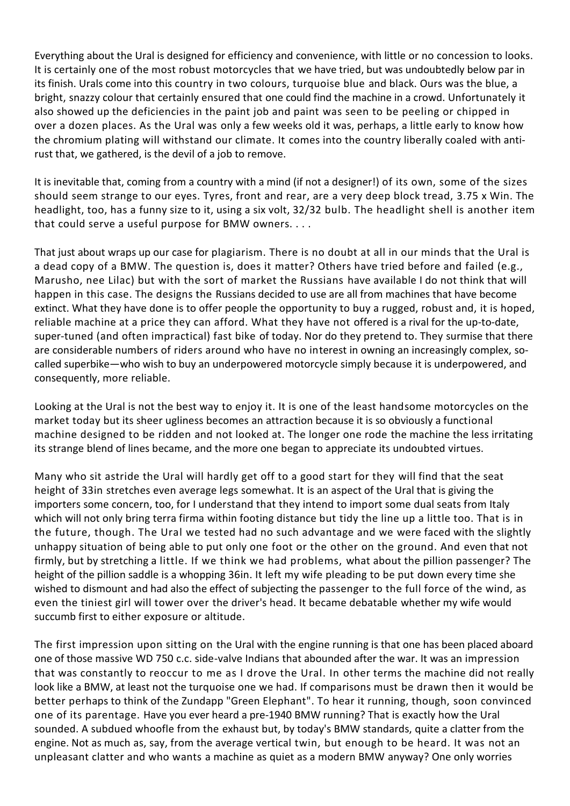Everything about the Ural is designed for efficiency and convenience, with little or no concession to looks. It is certainly one of the most robust motorcycles that we have tried, but was undoubtedly below par in its finish. Urals come into this country in two colours, turquoise blue and black. Ours was the blue, a bright, snazzy colour that certainly ensured that one could find the machine in a crowd. Unfortunately it also showed up the deficiencies in the paint job and paint was seen to be peeling or chipped in over a dozen places. As the Ural was only a few weeks old it was, perhaps, a little early to know how the chromium plating will withstand our climate. It comes into the country liberally coaled with antirust that, we gathered, is the devil of a job to remove.

It is inevitable that, coming from a country with a mind (if not a designer!) of its own, some of the sizes should seem strange to our eyes. Tyres, front and rear, are a very deep block tread, 3.75 x Win. The headlight, too, has a funny size to it, using a six volt, 32/32 bulb. The headlight shell is another item that could serve a useful purpose for BMW owners. . . .

That just about wraps up our case for plagiarism. There is no doubt at all in our minds that the Ural is a dead copy of a BMW. The question is, does it matter? Others have tried before and failed (e.g., Marusho, nee Lilac) but with the sort of market the Russians have available I do not think that will happen in this case. The designs the Russians decided to use are all from machines that have become extinct. What they have done is to offer people the opportunity to buy a rugged, robust and, it is hoped, reliable machine at a price they can afford. What they have not offered is a rival for the up-to-date, super-tuned (and often impractical) fast bike of today. Nor do they pretend to. They surmise that there are considerable numbers of riders around who have no interest in owning an increasingly complex, socalled superbike—who wish to buy an underpowered motorcycle simply because it is underpowered, and consequently, more reliable.

Looking at the Ural is not the best way to enjoy it. It is one of the least handsome motorcycles on the market today but its sheer ugliness becomes an attraction because it is so obviously a functional machine designed to be ridden and not looked at. The longer one rode the machine the less irritating its strange blend of lines became, and the more one began to appreciate its undoubted virtues.

Many who sit astride the Ural will hardly get off to a good start for they will find that the seat height of 33in stretches even average legs somewhat. It is an aspect of the Ural that is giving the importers some concern, too, for I understand that they intend to import some dual seats from Italy which will not only bring terra firma within footing distance but tidy the line up a little too. That is in the future, though. The Ural we tested had no such advantage and we were faced with the slightly unhappy situation of being able to put only one foot or the other on the ground. And even that not firmly, but by stretching a little. If we think we had problems, what about the pillion passenger? The height of the pillion saddle is a whopping 36in. It left my wife pleading to be put down every time she wished to dismount and had also the effect of subjecting the passenger to the full force of the wind, as even the tiniest girl will tower over the driver's head. It became debatable whether my wife would succumb first to either exposure or altitude.

The first impression upon sitting on the Ural with the engine running is that one has been placed aboard one of those massive WD 750 c.c. side-valve Indians that abounded after the war. It was an impression that was constantly to reoccur to me as I drove the Ural. In other terms the machine did not really look like a BMW, at least not the turquoise one we had. If comparisons must be drawn then it would be better perhaps to think of the Zundapp "Green Elephant". To hear it running, though, soon convinced one of its parentage. Have you ever heard a pre-1940 BMW running? That is exactly how the Ural sounded. A subdued whoofle from the exhaust but, by today's BMW standards, quite a clatter from the engine. Not as much as, say, from the average vertical twin, but enough to be heard. It was not an unpleasant clatter and who wants a machine as quiet as a modern BMW anyway? One only worries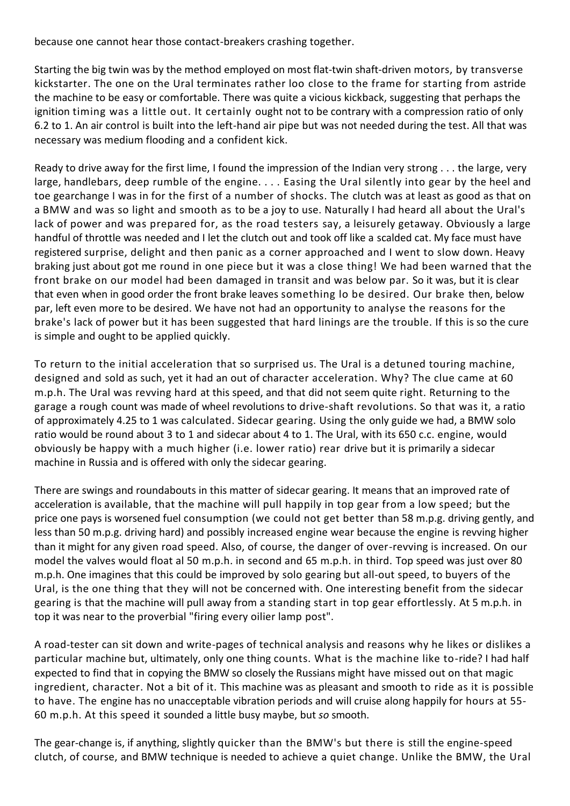because one cannot hear those contact-breakers crashing together.

Starting the big twin was by the method employed on most flat-twin shaft-driven motors, by transverse kickstarter. The one on the Ural terminates rather loo close to the frame for starting from astride the machine to be easy or comfortable. There was quite a vicious kickback, suggesting that perhaps the ignition timing was a little out. It certainly ought not to be contrary with a compression ratio of only 6.2 to 1. An air control is built into the left-hand air pipe but was not needed during the test. All that was necessary was medium flooding and a confident kick.

Ready to drive away for the first lime, I found the impression of the Indian very strong . . . the large, very large, handlebars, deep rumble of the engine. . . . Easing the Ural silently into gear by the heel and toe gearchange I was in for the first of a number of shocks. The clutch was at least as good as that on a BMW and was so light and smooth as to be a joy to use. Naturally I had heard all about the Ural's lack of power and was prepared for, as the road testers say, a leisurely getaway. Obviously a large handful of throttle was needed and I let the clutch out and took off like a scalded cat. My face must have registered surprise, delight and then panic as a corner approached and I went to slow down. Heavy braking just about got me round in one piece but it was a close thing! We had been warned that the front brake on our model had been damaged in transit and was below par. So it was, but it is clear that even when in good order the front brake leaves something lo be desired. Our brake then, below par, left even more to be desired. We have not had an opportunity to analyse the reasons for the brake's lack of power but it has been suggested that hard linings are the trouble. If this is so the cure is simple and ought to be applied quickly.

To return to the initial acceleration that so surprised us. The Ural is a detuned touring machine, designed and sold as such, yet it had an out of character acceleration. Why? The clue came at 60 m.p.h. The Ural was revving hard at this speed, and that did not seem quite right. Returning to the garage a rough count was made of wheel revolutions to drive-shaft revolutions. So that was it, a ratio of approximately 4.25 to 1 was calculated. Sidecar gearing. Using the only guide we had, a BMW solo ratio would be round about 3 to 1 and sidecar about 4 to 1. The Ural, with its 650 c.c. engine, would obviously be happy with a much higher (i.e. lower ratio) rear drive but it is primarily a sidecar machine in Russia and is offered with only the sidecar gearing.

There are swings and roundabouts in this matter of sidecar gearing. It means that an improved rate of acceleration is available, that the machine will pull happily in top gear from a low speed; but the price one pays is worsened fuel consumption (we could not get better than 58 m.p.g. driving gently, and less than 50 m.p.g. driving hard) and possibly increased engine wear because the engine is revving higher than it might for any given road speed. Also, of course, the danger of over-revving is increased. On our model the valves would float al 50 m.p.h. in second and 65 m.p.h. in third. Top speed was just over 80 m.p.h. One imagines that this could be improved by solo gearing but all-out speed, to buyers of the Ural, is the one thing that they will not be concerned with. One interesting benefit from the sidecar gearing is that the machine will pull away from a standing start in top gear effortlessly. At 5 m.p.h. in top it was near to the proverbial "firing every oilier lamp post".

A road-tester can sit down and write-pages of technical analysis and reasons why he likes or dislikes a particular machine but, ultimately, only one thing counts. What is the machine like to-ride? I had half expected to find that in copying the BMW so closely the Russians might have missed out on that magic ingredient, character. Not a bit of it. This machine was as pleasant and smooth to ride as it is possible to have. The engine has no unacceptable vibration periods and will cruise along happily for hours at 55- 60 m.p.h. At this speed it sounded a little busy maybe, but *so* smooth.

The gear-change is, if anything, slightly quicker than the BMW's but there is still the engine-speed clutch, of course, and BMW technique is needed to achieve a quiet change. Unlike the BMW, the Ural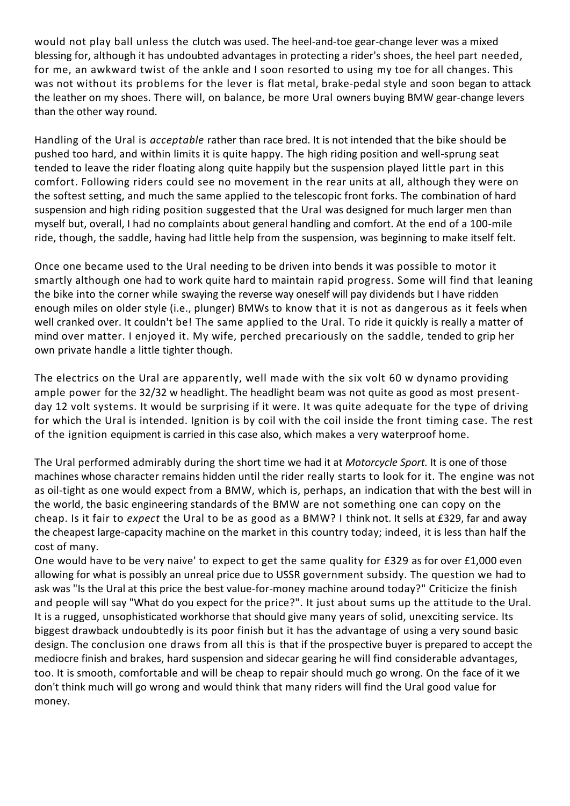would not play ball unless the clutch was used. The heel-and-toe gear-change lever was a mixed blessing for, although it has undoubted advantages in protecting a rider's shoes, the heel part needed, for me, an awkward twist of the ankle and I soon resorted to using my toe for all changes. This was not without its problems for the lever is flat metal, brake-pedal style and soon began to attack the leather on my shoes. There will, on balance, be more Ural owners buying BMW gear-change levers than the other way round.

Handling of the Ural is *acceptable* rather than race bred. It is not intended that the bike should be pushed too hard, and within limits it is quite happy. The high riding position and well-sprung seat tended to leave the rider floating along quite happily but the suspension played little part in this comfort. Following riders could see no movement in the rear units at all, although they were on the softest setting, and much the same applied to the telescopic front forks. The combination of hard suspension and high riding position suggested that the Ural was designed for much larger men than myself but, overall, I had no complaints about general handling and comfort. At the end of a 100-mile ride, though, the saddle, having had little help from the suspension, was beginning to make itself felt.

Once one became used to the Ural needing to be driven into bends it was possible to motor it smartly although one had to work quite hard to maintain rapid progress. Some will find that leaning the bike into the corner while swaying the reverse way oneself will pay dividends but I have ridden enough miles on older style (i.e., plunger) BMWs to know that it is not as dangerous as it feels when well cranked over. It couldn't be! The same applied to the Ural. To ride it quickly is really a matter of mind over matter. I enjoyed it. My wife, perched precariously on the saddle, tended to grip her own private handle a little tighter though.

The electrics on the Ural are apparently, well made with the six volt 60 w dynamo providing ample power for the 32/32 w headlight. The headlight beam was not quite as good as most presentday 12 volt systems. It would be surprising if it were. It was quite adequate for the type of driving for which the Ural is intended. Ignition is by coil with the coil inside the front timing case. The rest of the ignition equipment is carried in this case also, which makes a very waterproof home.

The Ural performed admirably during the short time we had it at *Motorcycle Sport.* It is one of those machines whose character remains hidden until the rider really starts to look for it. The engine was not as oil-tight as one would expect from a BMW, which is, perhaps, an indication that with the best will in the world, the basic engineering standards of the BMW are not something one can copy on the cheap. Is it fair to *expect* the Ural to be as good as a BMW? I think not. It sells at £329, far and away the cheapest large-capacity machine on the market in this country today; indeed, it is less than half the cost of many.

One would have to be very naive' to expect to get the same quality for £329 as for over £1,000 even allowing for what is possibly an unreal price due to USSR government subsidy. The question we had to ask was "Is the Ural at this price the best value-for-money machine around today?" Criticize the finish and people will say "What do you expect for the price?". It just about sums up the attitude to the Ural. It is a rugged, unsophisticated workhorse that should give many years of solid, unexciting service. Its biggest drawback undoubtedly is its poor finish but it has the advantage of using a very sound basic design. The conclusion one draws from all this is that if the prospective buyer is prepared to accept the mediocre finish and brakes, hard suspension and sidecar gearing he will find considerable advantages, too. It is smooth, comfortable and will be cheap to repair should much go wrong. On the face of it we don't think much will go wrong and would think that many riders will find the Ural good value for money.